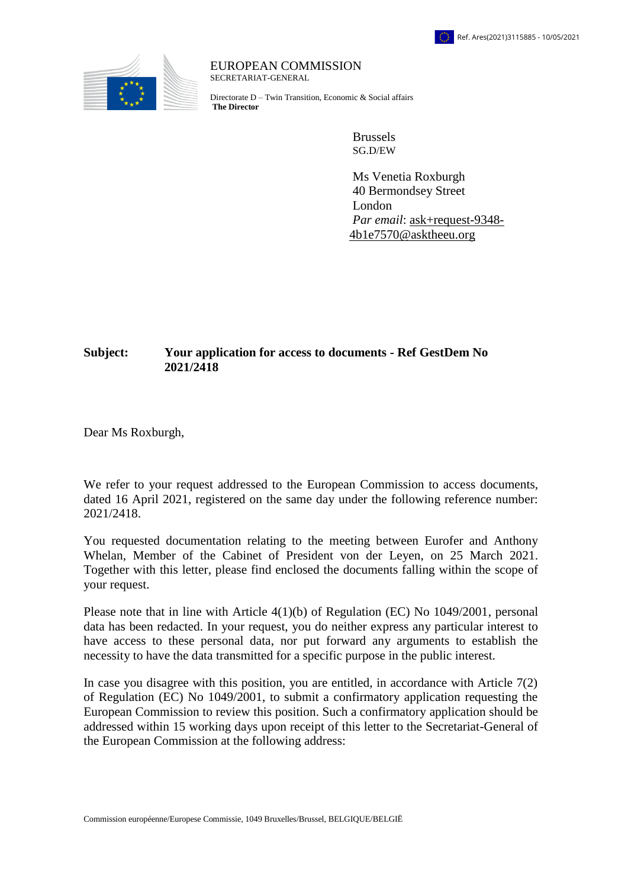

EUROPEAN COMMISSION SECRETARIAT-GENERAL

Directorate D – Twin Transition, Economic & Social affairs **The Director**

> Brussels SG.D/EW

Ms Venetia Roxburgh 40 Bermondsey Street London *Par email*: [ask+request-9348-](mailto:xxxxxxxxxxxxxxxxxxxxxxxxx@xxxxxxxx.xxx) [4b1e7570@asktheeu.org](mailto:xxxxxxxxxxxxxxxxxxxxxxxxx@xxxxxxxx.xxx)

## **Subject: Your application for access to documents - Ref GestDem No 2021/2418**

Dear Ms Roxburgh,

We refer to your request addressed to the European Commission to access documents, dated 16 April 2021, registered on the same day under the following reference number: 2021/2418.

You requested documentation relating to the meeting between Eurofer and Anthony Whelan, Member of the Cabinet of President von der Leyen, on 25 March 2021. Together with this letter, please find enclosed the documents falling within the scope of your request.

Please note that in line with Article 4(1)(b) of Regulation (EC) No 1049/2001, personal data has been redacted. In your request, you do neither express any particular interest to have access to these personal data, nor put forward any arguments to establish the necessity to have the data transmitted for a specific purpose in the public interest.

In case you disagree with this position, you are entitled, in accordance with Article 7(2) of Regulation (EC) No 1049/2001, to submit a confirmatory application requesting the European Commission to review this position. Such a confirmatory application should be addressed within 15 working days upon receipt of this letter to the Secretariat-General of the European Commission at the following address: